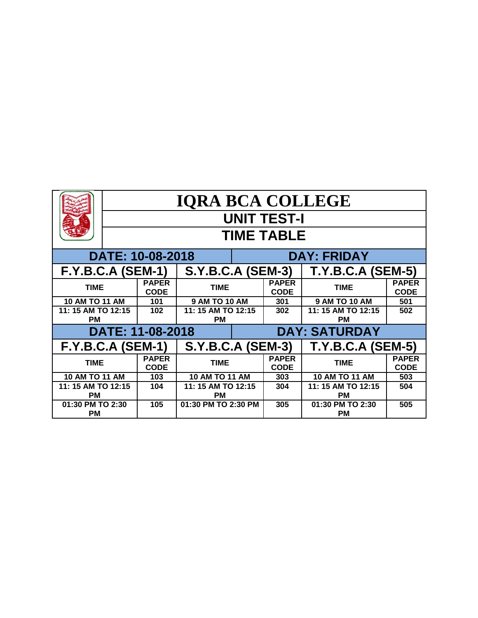|                                 | <b>IQRA BCA COLLEGE</b> |                             |                                 |                                                      |                             |                                 |                             |  |  |  |
|---------------------------------|-------------------------|-----------------------------|---------------------------------|------------------------------------------------------|-----------------------------|---------------------------------|-----------------------------|--|--|--|
|                                 | <b>UNIT TEST-I</b>      |                             |                                 |                                                      |                             |                                 |                             |  |  |  |
|                                 | <b>TIME TABLE</b>       |                             |                                 |                                                      |                             |                                 |                             |  |  |  |
|                                 |                         | DATE: 10-08-2018            |                                 |                                                      | <b>DAY: FRIDAY</b>          |                                 |                             |  |  |  |
| <b>F.Y.B.C.A (SEM-1)</b>        |                         |                             | <b>S.Y.B.C.A (SEM-3)</b>        |                                                      |                             | <b>T.Y.B.C.A (SEM-5)</b>        |                             |  |  |  |
| <b>TIME</b>                     |                         | <b>PAPER</b><br><b>CODE</b> | <b>TIME</b>                     |                                                      | <b>PAPER</b><br><b>CODE</b> | <b>TIME</b>                     | <b>PAPER</b><br><b>CODE</b> |  |  |  |
| <b>10 AM TO 11 AM</b>           |                         | 101                         | <b>9 AM TO 10 AM</b>            |                                                      | 301                         | <b>9 AM TO 10 AM</b>            | 501                         |  |  |  |
| 11: 15 AM TO 12:15<br><b>PM</b> |                         | 102                         | 11: 15 AM TO 12:15<br><b>PM</b> |                                                      | 302                         | 11: 15 AM TO 12:15<br><b>PM</b> | 502                         |  |  |  |
|                                 |                         | DATE: 11-08-2018            |                                 | <b>DAY: SATURDAY</b>                                 |                             |                                 |                             |  |  |  |
| <b>F.Y.B.C.A (SEM-1)</b>        |                         |                             |                                 | <b>S.Y.B.C.A (SEM-3)</b><br><b>T.Y.B.C.A (SEM-5)</b> |                             |                                 |                             |  |  |  |
| <b>TIME</b>                     |                         | <b>PAPER</b><br><b>CODE</b> | <b>TIME</b>                     |                                                      | <b>PAPER</b><br><b>CODE</b> | <b>TIME</b>                     | <b>PAPER</b><br><b>CODE</b> |  |  |  |
| <b>10 AM TO 11 AM</b>           |                         | 103                         | <b>10 AM TO 11 AM</b>           |                                                      | 303                         | <b>10 AM TO 11 AM</b>           | 503                         |  |  |  |
| 11: 15 AM TO 12:15<br><b>PM</b> |                         | 104                         | 11: 15 AM TO 12:15<br><b>PM</b> |                                                      | 304                         | 11: 15 AM TO 12:15<br><b>PM</b> | 504                         |  |  |  |
| 01:30 PM TO 2:30<br><b>PM</b>   |                         | 105<br>01:30 PM TO 2:30 PM  |                                 |                                                      | 305                         | 01:30 PM TO 2:30<br><b>PM</b>   | 505                         |  |  |  |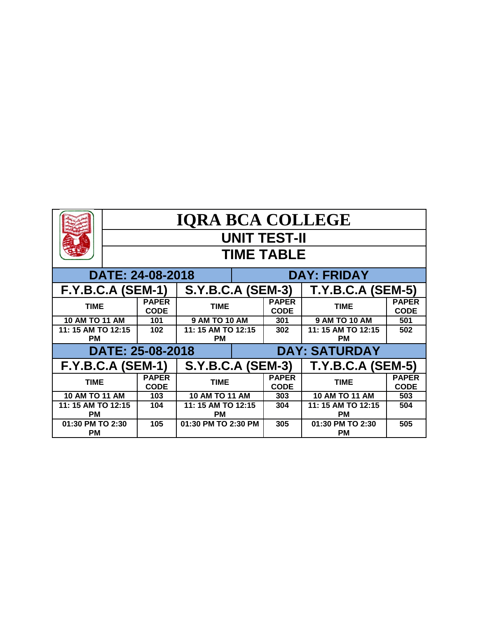|                                            | <b>IQRA BCA COLLEGE</b> |                             |                                 |                                                      |                             |                                 |                             |  |  |
|--------------------------------------------|-------------------------|-----------------------------|---------------------------------|------------------------------------------------------|-----------------------------|---------------------------------|-----------------------------|--|--|
|                                            | <b>UNIT TEST-II</b>     |                             |                                 |                                                      |                             |                                 |                             |  |  |
|                                            | <b>TIME TABLE</b>       |                             |                                 |                                                      |                             |                                 |                             |  |  |
|                                            |                         | DATE: 24-08-2018            |                                 |                                                      | <b>DAY: FRIDAY</b>          |                                 |                             |  |  |
| <b>F.Y.B.C.A (SEM-1)</b>                   |                         |                             | <b>S.Y.B.C.A (SEM-3)</b>        |                                                      |                             | <b>T.Y.B.C.A (SEM-5)</b>        |                             |  |  |
| <b>TIME</b>                                |                         | <b>PAPER</b><br><b>CODE</b> | <b>TIME</b>                     |                                                      | <b>PAPER</b><br><b>CODE</b> | <b>TIME</b>                     | <b>PAPER</b><br><b>CODE</b> |  |  |
| <b>10 AM TO 11 AM</b>                      |                         | 101                         | <b>9 AM TO 10 AM</b>            |                                                      | 301                         | <b>9 AM TO 10 AM</b>            | 501                         |  |  |
| 11: 15 AM TO 12:15<br><b>PM</b>            |                         | 102                         | 11: 15 AM TO 12:15<br><b>PM</b> |                                                      | 302                         | 11: 15 AM TO 12:15<br><b>PM</b> | 502                         |  |  |
| DATE: 25-08-2018                           |                         | <b>DAY: SATURDAY</b>        |                                 |                                                      |                             |                                 |                             |  |  |
| <b>F.Y.B.C.A (SEM-1)</b>                   |                         |                             |                                 | <b>S.Y.B.C.A (SEM-3)</b><br><b>T.Y.B.C.A (SEM-5)</b> |                             |                                 |                             |  |  |
| <b>PAPER</b><br><b>TIME</b><br><b>CODE</b> |                         | <b>TIME</b>                 |                                 | <b>PAPER</b><br><b>CODE</b>                          | <b>TIME</b>                 | <b>PAPER</b><br><b>CODE</b>     |                             |  |  |
| <b>10 AM TO 11 AM</b>                      |                         | 103                         | <b>10 AM TO 11 AM</b>           |                                                      | 303                         | 10 AM TO 11 AM                  | 503                         |  |  |
| 11: 15 AM TO 12:15                         |                         | 104                         | 11: 15 AM TO 12:15              |                                                      | 304                         | 11: 15 AM TO 12:15              | 504                         |  |  |
| <b>PM</b>                                  |                         |                             | <b>PM</b>                       |                                                      |                             | <b>PM</b>                       |                             |  |  |
| 01:30 PM TO 2:30<br><b>PM</b>              |                         | 105                         | 01:30 PM TO 2:30 PM             |                                                      | 305                         | 01:30 PM TO 2:30<br><b>PM</b>   | 505                         |  |  |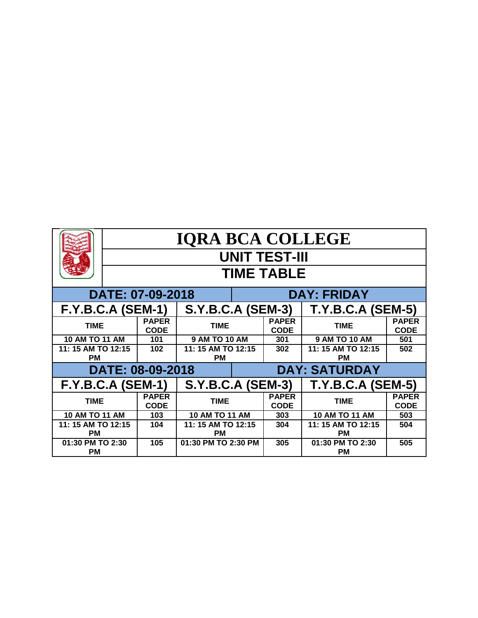|                                            | <b>IQRA BCA COLLEGE</b> |                             |                          |                             |                             |                               |                             |  |  |  |
|--------------------------------------------|-------------------------|-----------------------------|--------------------------|-----------------------------|-----------------------------|-------------------------------|-----------------------------|--|--|--|
|                                            | <b>UNIT TEST-III</b>    |                             |                          |                             |                             |                               |                             |  |  |  |
|                                            | <b>TIME TABLE</b>       |                             |                          |                             |                             |                               |                             |  |  |  |
| DATE: 07-09-2018                           |                         |                             |                          |                             | <b>DAY: FRIDAY</b>          |                               |                             |  |  |  |
| <b>F.Y.B.C.A (SEM-1)</b>                   |                         |                             | <b>S.Y.B.C.A (SEM-3)</b> |                             |                             | <b>T.Y.B.C.A (SEM-5)</b>      |                             |  |  |  |
| <b>TIME</b>                                |                         | <b>PAPER</b><br><b>CODE</b> | <b>TIME</b>              |                             | <b>PAPER</b><br><b>CODE</b> | <b>TIME</b>                   | <b>PAPER</b><br><b>CODE</b> |  |  |  |
| 10 AM TO 11 AM                             |                         | 101                         | 9 AM TO 10 AM            |                             | 301                         | <b>9 AM TO 10 AM</b>          | 501                         |  |  |  |
| 11: 15 AM TO 12:15                         |                         | 102                         | 11: 15 AM TO 12:15       |                             | 302                         | 11: 15 AM TO 12:15            | 502                         |  |  |  |
| <b>PM</b>                                  |                         |                             | <b>PM</b>                |                             |                             | РM                            |                             |  |  |  |
|                                            | DATE: 08-09-2018        | <b>DAY: SATURDAY</b>        |                          |                             |                             |                               |                             |  |  |  |
| $F.Y.B.C.A (SEM-1)$                        |                         |                             | <b>S.Y.B.C.A (SEM-3)</b> |                             |                             | <b>T.Y.B.C.A (SEM-5)</b>      |                             |  |  |  |
| <b>PAPER</b><br><b>TIME</b><br><b>CODE</b> |                         | <b>TIME</b>                 |                          | <b>PAPER</b><br><b>CODE</b> | <b>TIME</b>                 | <b>PAPER</b><br><b>CODE</b>   |                             |  |  |  |
| <b>10 AM TO 11 AM</b>                      |                         | 103                         | <b>10 AM TO 11 AM</b>    |                             | 303                         | <b>10 AM TO 11 AM</b>         | 503                         |  |  |  |
| 11: 15 AM TO 12:15                         |                         | 104                         | 11: 15 AM TO 12:15       |                             | 304                         | 11: 15 AM TO 12:15            | 504                         |  |  |  |
| <b>PM</b>                                  |                         |                             | <b>PM</b>                |                             |                             | <b>PM</b>                     |                             |  |  |  |
| 01:30 PM TO 2:30<br><b>PM</b>              |                         | 105                         | 01:30 PM TO 2:30 PM      |                             | 305                         | 01:30 PM TO 2:30<br><b>PM</b> | 505                         |  |  |  |